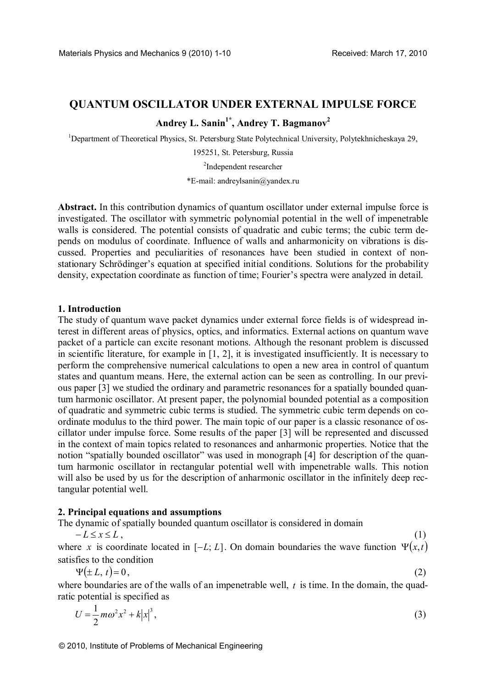# **QUANTUM OSCILLATOR UNDER EXTERNAL IMPULSE FORCE**

**Andrey L. Sanin1\*, Andrey T. Bagmanov<sup>2</sup>**

<sup>1</sup>Department of Theoretical Physics, St. Petersburg State Polytechnical University, Polytekhnicheskaya 29,

195251, St. Petersburg, Russia

2 Independent researcher

\*E-mail: andreylsanin@yandex.ru

**Abstract.** In this contribution dynamics of quantum oscillator under external impulse force is investigated. The oscillator with symmetric polynomial potential in the well of impenetrable walls is considered. The potential consists of quadratic and cubic terms; the cubic term depends on modulus of coordinate. Influence of walls and anharmonicity on vibrations is discussed. Properties and peculiarities of resonances have been studied in context of nonstationary Schrödinger's equation at specified initial conditions. Solutions for the probability density, expectation coordinate as function of time; Fourier's spectra were analyzed in detail.

#### **1. Introduction**

The study of quantum wave packet dynamics under external force fields is of widespread interest in different areas of physics, optics, and informatics. External actions on quantum wave packet of a particle can excite resonant motions. Although the resonant problem is discussed in scientific literature, for example in [1, 2], it is investigated insufficiently. It is necessary to perform the comprehensive numerical calculations to open a new area in control of quantum states and quantum means. Here, the external action can be seen as controlling. In our previous paper [3] we studied the ordinary and parametric resonances for a spatially bounded quantum harmonic oscillator. At present paper, the polynomial bounded potential as a composition of quadratic and symmetric cubic terms is studied. The symmetric cubic term depends on coordinate modulus to the third power. The main topic of our paper is a classic resonance of oscillator under impulse force. Some results of the paper [3] will be represented and discussed in the context of main topics related to resonances and anharmonic properties. Notice that the notion "spatially bounded oscillator" was used in monograph [4] for description of the quantum harmonic oscillator in rectangular potential well with impenetrable walls. This notion will also be used by us for the description of anharmonic oscillator in the infinitely deep rectangular potential well.

#### **2. Principal equations and assumptions**

The dynamic of spatially bounded quantum oscillator is considered in domain

 $-L \le x \le L$ , (1)

where *x* is coordinate located in  $[-L, L]$ . On domain boundaries the wave function  $\Psi(x, t)$ satisfies to the condition

$$
\Psi(\pm L, t) = 0,\tag{2}
$$

where boundaries are of the walls of an impenetrable well, *t* is time. In the domain, the quadratic potential is specified as

$$
U = \frac{1}{2}m\omega^2 x^2 + k|x|^3,
$$
 (3)

© 2010, Institute of Problems of Mechanical Engineering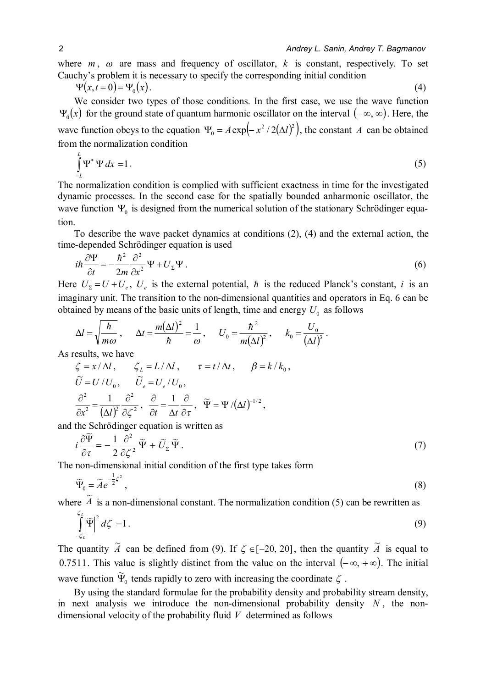where  $m$ ,  $\omega$  are mass and frequency of oscillator,  $k$  is constant, respectively. To set Cauchy's problem it is necessary to specify the corresponding initial condition

$$
\Psi(x,t=0) = \Psi_0(x). \tag{4}
$$

 We consider two types of those conditions. In the first case, we use the wave function  $\Psi_0(x)$  for the ground state of quantum harmonic oscillator on the interval  $(-\infty, \infty)$ . Here, the wave function obeys to the equation  $\Psi_0 = A \exp(-x^2/2(\Delta l)^2)$ , the constant *A* can be obtained from the normalization condition

$$
\int_{-L}^{L} \Psi^* \Psi dx = 1.
$$
 (5)

The normalization condition is complied with sufficient exactness in time for the investigated dynamic processes. In the second case for the spatially bounded anharmonic oscillator, the wave function  $\Psi_0$  is designed from the numerical solution of the stationary Schrödinger equation.

 To describe the wave packet dynamics at conditions (2), (4) and the external action, the time-depended Schrödinger equation is used

$$
i\hbar \frac{\partial \Psi}{\partial t} = -\frac{\hbar^2}{2m} \frac{\partial^2}{\partial x^2} \Psi + U_{\Sigma} \Psi.
$$
 (6)

Here  $U_{\Sigma} = U + U_{e}$ ,  $U_{e}$  is the external potential,  $\hbar$  is the reduced Planck's constant, *i* is an imaginary unit. The transition to the non-dimensional quantities and operators in Eq. 6 can be obtained by means of the basic units of length, time and energy  $U_0$  as follows

$$
\Delta l = \sqrt{\frac{\hbar}{m\omega}} , \quad \Delta t = \frac{m(\Delta l)^2}{\hbar} = \frac{1}{\omega} , \quad U_0 = \frac{\hbar^2}{m(\Delta l)^2} , \quad k_0 = \frac{U_0}{(\Delta l)^3} .
$$

As results, we have

$$
\zeta = x/\Delta l, \qquad \zeta_L = L/\Delta l, \qquad \tau = t/\Delta t, \qquad \beta = k/k_0,
$$
  

$$
\widetilde{U} = U/U_0, \qquad \widetilde{U}_e = U_e/U_0,
$$
  

$$
\frac{\partial^2}{\partial x^2} = \frac{1}{(\Delta l)^2} \frac{\partial^2}{\partial \zeta^2}, \qquad \frac{\partial}{\partial t} = \frac{1}{\Delta t} \frac{\partial}{\partial \tau}, \quad \widetilde{\Psi} = \Psi/(\Delta l)^{-1/2},
$$

and the Schrödinger equation is written as

$$
i\frac{\partial \widetilde{\Psi}}{\partial \tau} = -\frac{1}{2} \frac{\partial^2}{\partial \zeta^2} \widetilde{\Psi} + \widetilde{U}_{\Sigma} \widetilde{\Psi}.
$$
 (7)

The non-dimensional initial condition of the first type takes form

$$
\widetilde{\Psi}_0 = \widetilde{A}e^{-\frac{1}{2}\zeta^2},\tag{8}
$$

where  $\widetilde{A}$ is a non-dimensional constant. The normalization condition (5) can be rewritten as

$$
\int_{-\zeta_L}^{\zeta_L} \left| \widetilde{\Psi} \right|^2 d\zeta = 1. \tag{9}
$$

The quantity  $\tilde{A}$  can be defined from (9). If  $\zeta \in [-20, 20]$ , then the quantity  $\tilde{A}$  is equal to 0.7511. This value is slightly distinct from the value on the interval  $(-\infty, +\infty)$ . The initial wave function  $\widetilde{\Psi}_0$  tends rapidly to zero with increasing the coordinate  $\zeta$ .

 By using the standard formulae for the probability density and probability stream density, in next analysis we introduce the non-dimensional probability density  $N$ , the nondimensional velocity of the probability fluid *V* determined as follows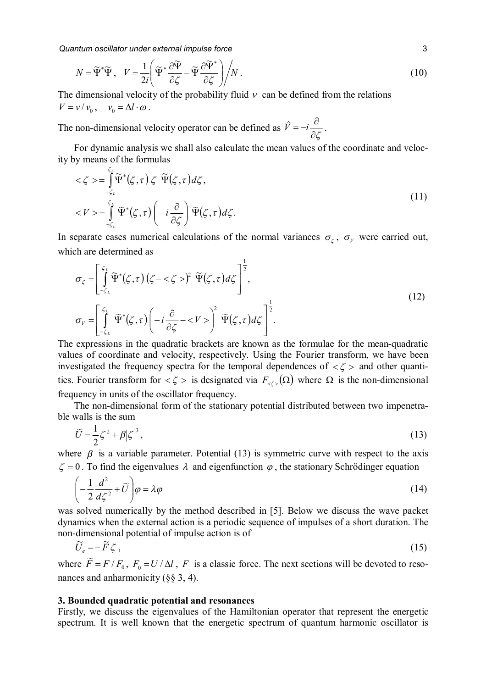*Quantum oscillator under external impulse force* 3

$$
N = \widetilde{\Psi}^* \widetilde{\Psi}, \quad V = \frac{1}{2i} \left( \widetilde{\Psi}^* \frac{\partial \widetilde{\Psi}}{\partial \zeta} - \widetilde{\Psi} \frac{\partial \widetilde{\Psi}^*}{\partial \zeta} \right) / N. \tag{10}
$$

The dimensional velocity of the probability fluid  $v$  can be defined from the relations  $V = v / v_0$ ,  $v_0 = \Delta l \cdot \omega$ .

The non-dimensional velocity operator can be defined as  $\partial \zeta$  $\hat{V} = -i \frac{\partial}{\partial \hat{z}}$ .

 For dynamic analysis we shall also calculate the mean values of the coordinate and velocity by means of the formulas

$$
\langle \zeta \rangle = \int_{-\zeta_L}^{\zeta_L} \widetilde{\Psi}^*(\zeta, \tau) \zeta \widetilde{\Psi}(\zeta, \tau) d\zeta,
$$
  

$$
\langle V \rangle = \int_{-\zeta_L}^{\zeta_L} \widetilde{\Psi}^*(\zeta, \tau) \left( -i \frac{\partial}{\partial \zeta} \right) \widetilde{\Psi}(\zeta, \tau) d\zeta.
$$
 (11)

In separate cases numerical calculations of the normal variances  $\sigma_{\zeta}$ ,  $\sigma_{\gamma}$  were carried out, which are determined as

$$
\sigma_{\zeta} = \left[ \int_{-\zeta_{L}}^{\zeta_{L}} \widetilde{\Psi}^{*}(\zeta, \tau) \left( \zeta - \langle \zeta \rangle \right)^{2} \widetilde{\Psi}(\zeta, \tau) d\zeta \right]^{\frac{1}{2}},
$$
\n
$$
\sigma_{V} = \left[ \int_{-\zeta_{L}}^{\zeta_{L}} \widetilde{\Psi}^{*}(\zeta, \tau) \left( -i \frac{\partial}{\partial \zeta} - \langle V \rangle \right)^{2} \widetilde{\Psi}(\zeta, \tau) d\zeta \right]^{\frac{1}{2}}.
$$
\n(12)

The expressions in the quadratic brackets are known as the formulae for the mean-quadratic values of coordinate and velocity, respectively. Using the Fourier transform, we have been investigated the frequency spectra for the temporal dependences of  $\langle \zeta \rangle$  and other quantities. Fourier transform for  $\langle \zeta \rangle$  is designated via  $F_{\langle \zeta \rangle}(\Omega)$  where  $\Omega$  is the non-dimensional frequency in units of the oscillator frequency.

 The non-dimensional form of the stationary potential distributed between two impenetrable walls is the sum

$$
\widetilde{U} = \frac{1}{2}\zeta^2 + \beta |\zeta|^3,\tag{13}
$$

where  $\beta$  is a variable parameter. Potential (13) is symmetric curve with respect to the axis  $\zeta = 0$ . To find the eigenvalues  $\lambda$  and eigenfunction  $\varphi$ , the stationary Schrödinger equation

$$
\left(-\frac{1}{2}\frac{d^2}{d\zeta^2} + \widetilde{U}\right)\varphi = \lambda\varphi\tag{14}
$$

was solved numerically by the method described in [5]. Below we discuss the wave packet dynamics when the external action is a periodic sequence of impulses of a short duration. The non-dimensional potential of impulse action is of

$$
\widetilde{U}_e = -\widetilde{F}\zeta\,,\tag{15}
$$

where  $\widetilde{F} = F/F_0$ ,  $F_0 = U/\Delta l$ , F is a classic force. The next sections will be devoted to resonances and anharmonicity (§§ 3, 4).

### **3. Bounded quadratic potential and resonances**

Firstly, we discuss the eigenvalues of the Hamiltonian operator that represent the energetic spectrum. It is well known that the energetic spectrum of quantum harmonic oscillator is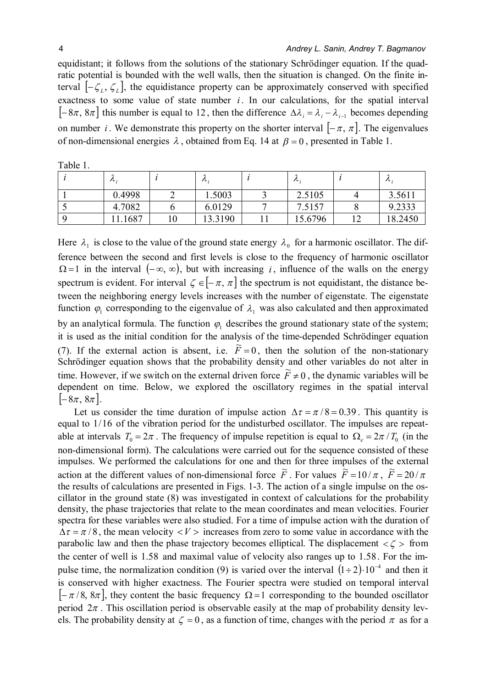equidistant; it follows from the solutions of the stationary Schrödinger equation. If the quadratic potential is bounded with the well walls, then the situation is changed. On the finite interval  $[-\zeta_L, \zeta_L]$ , the equidistance property can be approximately conserved with specified exactness to some value of state number *i*. In our calculations, for the spatial interval  $[-8\pi, 8\pi]$  this number is equal to 12, then the difference  $\Delta \lambda_i = \lambda_i - \lambda_{i-1}$  becomes depending on number *i*. We demonstrate this property on the shorter interval  $[-\pi, \pi]$ . The eigenvalues of non-dimensional energies  $\lambda$ , obtained from Eq. 14 at  $\beta = 0$ , presented in Table 1.

| ノレ:    | $\mathcal{L}$ | $\prime\prime$ : | $\prime\circ$ : |
|--------|---------------|------------------|-----------------|
| 0.4998 | .5003         | 2.5105           | 3.5611          |
| 4.7082 | 6.0129        | 7.5157           | 9.2333          |
| .1687  | 13.3190       | 15.6796          | 18.2450         |

Table 1.

Here  $\lambda_1$  is close to the value of the ground state energy  $\lambda_0$  for a harmonic oscillator. The difference between the second and first levels is close to the frequency of harmonic oscillator  $\Omega = 1$  in the interval  $(-\infty, \infty)$ , but with increasing *i*, influence of the walls on the energy spectrum is evident. For interval  $\zeta \in [-\pi, \pi]$  the spectrum is not equidistant, the distance between the neighboring energy levels increases with the number of eigenstate. The eigenstate function  $\varphi_1$  corresponding to the eigenvalue of  $\lambda_1$  was also calculated and then approximated by an analytical formula. The function  $\varphi_1$  describes the ground stationary state of the system; it is used as the initial condition for the analysis of the time-depended Schrödinger equation (7). If the external action is absent, i.e.  $\tilde{F} = 0$ , then the solution of the non-stationary Schrödinger equation shows that the probability density and other variables do not alter in time. However, if we switch on the external driven force  $\tilde{F} \neq 0$ , the dynamic variables will be dependent on time. Below, we explored the oscillatory regimes in the spatial interval  $\left[-8\pi, 8\pi\right]$ .

Let us consider the time duration of impulse action  $\Delta \tau = \pi/8 = 0.39$ . This quantity is equal to  $1/16$  of the vibration period for the undisturbed oscillator. The impulses are repeatable at intervals  $T_0 = 2\pi$ . The frequency of impulse repetition is equal to  $\Omega_e = 2\pi / T_0$  (in the non-dimensional form). The calculations were carried out for the sequence consisted of these impulses. We performed the calculations for one and then for three impulses of the external action at the different values of non-dimensional force  $\tilde{F}$ . For values  $\tilde{F} = 10/\pi$ ,  $\tilde{F} = 20/\pi$ the results of calculations are presented in Figs. 1-3. The action of a single impulse on the oscillator in the ground state (8) was investigated in context of calculations for the probability density, the phase trajectories that relate to the mean coordinates and mean velocities. Fourier spectra for these variables were also studied. For a time of impulse action with the duration of  $\Delta \tau = \pi/8$ , the mean velocity  $\langle V \rangle$  increases from zero to some value in accordance with the parabolic law and then the phase trajectory becomes elliptical. The displacement  $\langle \zeta \rangle$  from the center of well is  $1.58$  and maximal value of velocity also ranges up to  $1.58$ . For the impulse time, the normalization condition (9) is varied over the interval  $(1 \div 2) \cdot 10^{-4}$  and then it is conserved with higher exactness. The Fourier spectra were studied on temporal interval  $[-\pi/8, 8\pi]$ , they content the basic frequency  $\Omega = 1$  corresponding to the bounded oscillator period  $2\pi$ . This oscillation period is observable easily at the map of probability density levels. The probability density at  $\zeta = 0$ , as a function of time, changes with the period  $\pi$  as for a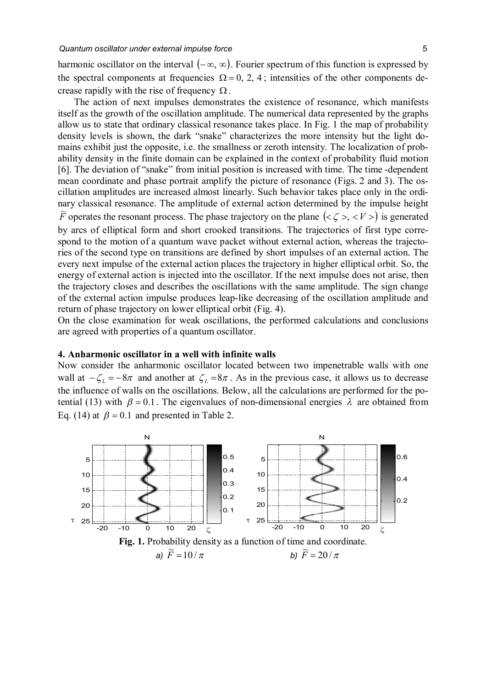harmonic oscillator on the interval  $(-\infty, \infty)$ . Fourier spectrum of this function is expressed by the spectral components at frequencies  $\Omega = 0, 2, 4$ ; intensities of the other components decrease rapidly with the rise of frequency  $\Omega$ .

 The action of next impulses demonstrates the existence of resonance, which manifests itself as the growth of the oscillation amplitude. The numerical data represented by the graphs allow us to state that ordinary classical resonance takes place. In Fig. 1 the map of probability density levels is shown, the dark "snake" characterizes the more intensity but the light domains exhibit just the opposite, i.e. the smallness or zeroth intensity. The localization of probability density in the finite domain can be explained in the context of probability fluid motion [6]. The deviation of "snake" from initial position is increased with time. The time -dependent mean coordinate and phase portrait amplify the picture of resonance (Figs. 2 and 3). The oscillation amplitudes are increased almost linearly. Such behavior takes place only in the ordinary classical resonance. The amplitude of external action determined by the impulse height  $\overline{F}$  operates the resonant process. The phase trajectory on the plane  $(<\zeta >, < V>$ ) is generated by arcs of elliptical form and short crooked transitions. The trajectories of first type correspond to the motion of a quantum wave packet without external action, whereas the trajectories of the second type on transitions are defined by short impulses of an external action. The every next impulse of the external action places the trajectory in higher elliptical orbit. So, the energy of external action is injected into the oscillator. If the next impulse does not arise, then the trajectory closes and describes the oscillations with the same amplitude. The sign change of the external action impulse produces leap-like decreasing of the oscillation amplitude and return of phase trajectory on lower elliptical orbit (Fig. 4).

On the close examination for weak oscillations, the performed calculations and conclusions are agreed with properties of a quantum oscillator.

## **4. Anharmonic oscillator in a well with infinite walls**

Now consider the anharmonic oscillator located between two impenetrable walls with one wall at  $-\zeta_L = -8\pi$  and another at  $\zeta_L = 8\pi$ . As in the previous case, it allows us to decrease the influence of walls on the oscillations. Below, all the calculations are performed for the potential (13) with  $\beta = 0.1$ . The eigenvalues of non-dimensional energies  $\lambda$  are obtained from Eq. (14) at  $\beta = 0.1$  and presented in Table 2.

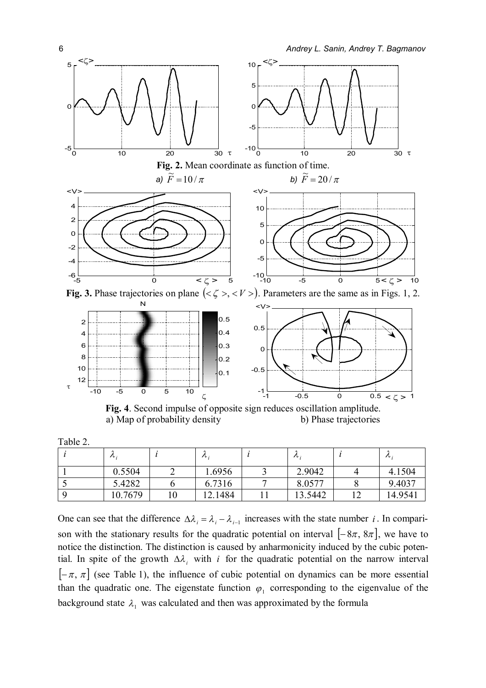



**Fig. 3.** Phase trajectories on plane  $( $\zeta$  >  $\zeta$  <  $V$ )$ . Parameters are the same as in Figs. 1, 2.



**Fig. 4**. Second impulse of opposite sign reduces oscillation amplitude. a) Map of probability density b) Phase trajectories

Table 2.

|   | $\mathcal{L} \cup \mathcal{L}$ | $\prime\prime$ : | ノレー     | ノレ:     |
|---|--------------------------------|------------------|---------|---------|
|   | 0.5504                         | .6956            | 2.9042  | 4.1504  |
| ັ | 5.4282                         | 6.7316           | 8.0577  | 9.4037  |
|   | 10.7679                        | 2.1484           | 13.5442 | 14.9541 |

One can see that the difference  $\Delta \lambda_i = \lambda_i - \lambda_{i-1}$  increases with the state number *i*. In comparison with the stationary results for the quadratic potential on interval  $[-8\pi, 8\pi]$ , we have to notice the distinction. The distinction is caused by anharmonicity induced by the cubic potential. In spite of the growth  $\Delta \lambda_i$  with *i* for the quadratic potential on the narrow interval  $[-\pi, \pi]$  (see Table 1), the influence of cubic potential on dynamics can be more essential than the quadratic one. The eigenstate function  $\varphi_1$  corresponding to the eigenvalue of the background state  $\lambda_1$  was calculated and then was approximated by the formula

0

-4 -2 0 2 4  $\lt'$ 

5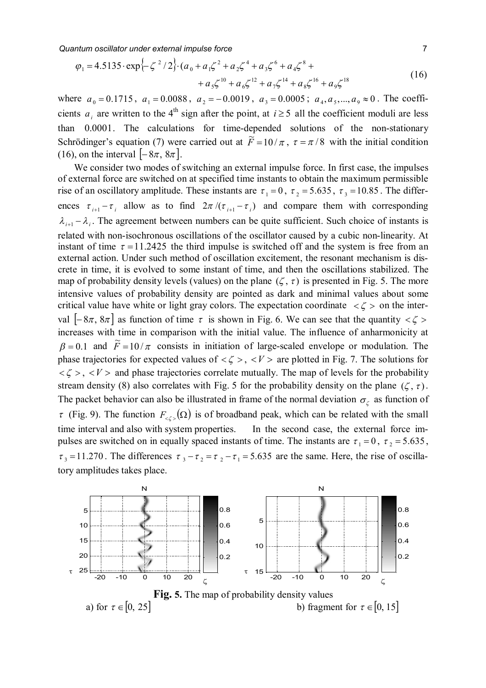*Quantum oscillator under external impulse force* 7

$$
\varphi_1 = 4.5135 \cdot \exp\{-\zeta^2/2\} \cdot (a_0 + a_1 \zeta^2 + a_2 \zeta^4 + a_3 \zeta^6 + a_4 \zeta^8 + a_5 \zeta^{10} + a_6 \zeta^{12} + a_7 \zeta^{14} + a_8 \zeta^{16} + a_9 \zeta^{18}
$$
\n(16)

where  $a_0 = 0.1715$ ,  $a_1 = 0.0088$ ,  $a_2 = -0.0019$ ,  $a_3 = 0.0005$ ;  $a_4, a_5, ..., a_9 \approx 0$ . The coefficients  $a_i$  are written to the 4<sup>th</sup> sign after the point, at  $i \geq 5$  all the coefficient moduli are less than  $0.0001$ . The calculations for time-depended solutions of the non-stationary Schrödinger's equation (7) were carried out at  $\vec{F} = 10/\pi$ ,  $\tau = \pi/8$  with the initial condition (16), on the interval  $[-8\pi, 8\pi]$ .

 We consider two modes of switching an external impulse force. In first case, the impulses of external force are switched on at specified time instants to obtain the maximum permissible rise of an oscillatory amplitude. These instants are  $\tau_1 = 0$ ,  $\tau_2 = 5.635$ ,  $\tau_3 = 10.85$ . The differences  $\tau_{i+1} - \tau_i$  allow as to find  $2\pi/(\tau_{i+1} - \tau_i)$  and compare them with corresponding  $\lambda_{i+1} - \lambda_i$ . The agreement between numbers can be quite sufficient. Such choice of instants is related with non-isochronous oscillations of the oscillator caused by a cubic non-linearity. At instant of time  $\tau = 11.2425$  the third impulse is switched off and the system is free from an external action. Under such method of oscillation excitement, the resonant mechanism is discrete in time, it is evolved to some instant of time, and then the oscillations stabilized. The map of probability density levels (values) on the plane  $(\zeta, \tau)$  is presented in Fig. 5. The more intensive values of probability density are pointed as dark and minimal values about some critical value have white or light gray colors. The expectation coordinate  $\langle \zeta \rangle$  on the interval  $[-8\pi, 8\pi]$  as function of time  $\tau$  is shown in Fig. 6. We can see that the quantity  $\langle \zeta \rangle$ increases with time in comparison with the initial value. The influence of anharmonicity at  $\beta = 0.1$  and  $\tilde{F} = 10/\pi$  consists in initiation of large-scaled envelope or modulation. The phase trajectories for expected values of  $\langle \zeta \rangle$ ,  $\langle V \rangle$  are plotted in Fig. 7. The solutions for  $\langle \zeta \rangle$ ,  $\langle V \rangle$  and phase trajectories correlate mutually. The map of levels for the probability stream density (8) also correlates with Fig. 5 for the probability density on the plane  $(\zeta, \tau)$ . The packet behavior can also be illustrated in frame of the normal deviation  $\sigma_{\zeta}$  as function of  $\tau$  (Fig. 9). The function  $F_{\leq \zeta >}(\Omega)$  is of broadband peak, which can be related with the small time interval and also with system properties. In the second case, the external force impulses are switched on in equally spaced instants of time. The instants are  $\tau_1 = 0$ ,  $\tau_2 = 5.635$ ,  $\tau_3 = 11.270$ . The differences  $\tau_3 - \tau_2 = \tau_2 - \tau_1 = 5.635$  are the same. Here, the rise of oscillatory amplitudes takes place.

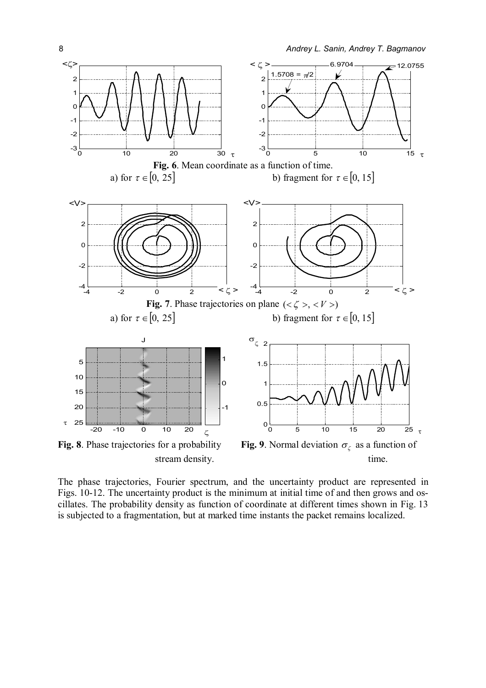

The phase trajectories, Fourier spectrum, and the uncertainty product are represented in Figs. 10-12. The uncertainty product is the minimum at initial time of and then grows and oscillates. The probability density as function of coordinate at different times shown in Fig. 13 is subjected to a fragmentation, but at marked time instants the packet remains localized.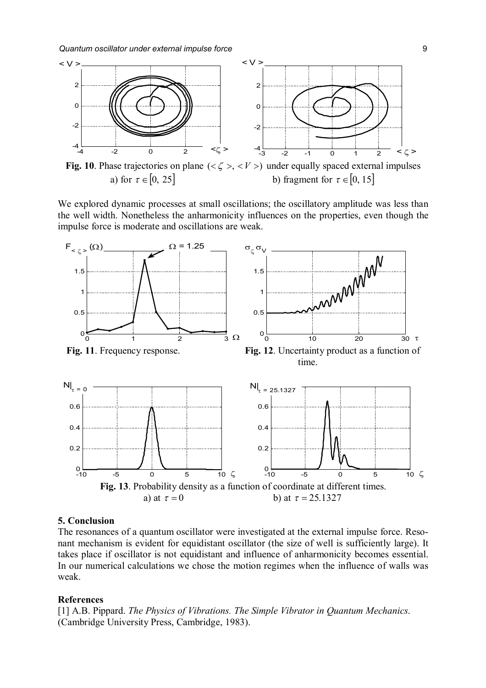

**Fig. 10**. Phase trajectories on plane  $(<\zeta$  >  $) under equally spaced external impulses$ a) for  $\tau \in [0, 25]$  b) fragment for  $\tau \in [0, 15]$ 

We explored dynamic processes at small oscillations; the oscillatory amplitude was less than the well width. Nonetheless the anharmonicity influences on the properties, even though the impulse force is moderate and oscillations are weak.



### **5. Conclusion**

The resonances of a quantum oscillator were investigated at the external impulse force. Resonant mechanism is evident for equidistant oscillator (the size of well is sufficiently large). It takes place if oscillator is not equidistant and influence of anharmonicity becomes essential. In our numerical calculations we chose the motion regimes when the influence of walls was weak.

### **References**

[1] A.B. Pippard. *The Physics of Vibrations. The Simple Vibrator in Quantum Mechanics*. (Cambridge University Press, Cambridge, 1983).